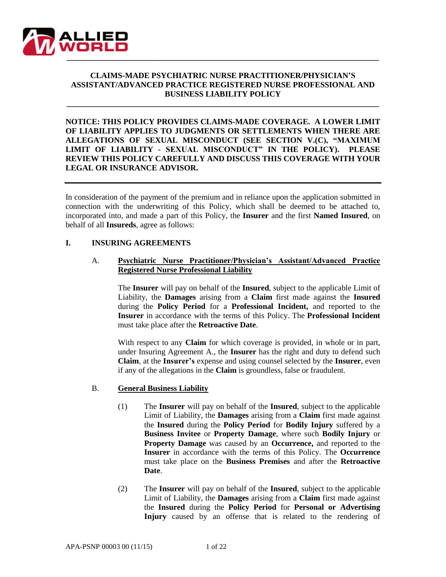

# **CLAIMS-MADE PSYCHIATRIC NURSE PRACTITIONER/PHYSICIAN'S ASSISTANT/ADVANCED PRACTICE REGISTERED NURSE PROFESSIONAL AND BUSINESS LIABILITY POLICY**

**\_\_\_\_\_\_\_\_\_\_\_\_\_\_\_\_\_\_\_\_\_\_\_\_\_\_\_\_\_\_\_\_\_\_\_\_\_\_\_\_\_\_\_\_\_\_\_\_\_\_\_\_\_\_\_\_\_\_\_\_\_\_\_\_\_\_\_\_\_\_\_\_\_\_\_\_\_\_**

**NOTICE: THIS POLICY PROVIDES CLAIMS-MADE COVERAGE. A LOWER LIMIT OF LIABILITY APPLIES TO JUDGMENTS OR SETTLEMENTS WHEN THERE ARE ALLEGATIONS OF SEXUAL MISCONDUCT (SEE SECTION V.(C), "MAXIMUM LIMIT OF LIABILITY - SEXUAL MISCONDUCT" IN THE POLICY). PLEASE REVIEW THIS POLICY CAREFULLY AND DISCUSS THIS COVERAGE WITH YOUR LEGAL OR INSURANCE ADVISOR.**

In consideration of the payment of the premium and in reliance upon the application submitted in connection with the underwriting of this Policy, which shall be deemed to be attached to, incorporated into, and made a part of this Policy, the **Insurer** and the first **Named Insured**, on behalf of all **Insureds**, agree as follows:

#### **I. INSURING AGREEMENTS**

### A. **Psychiatric Nurse Practitioner/Physician's Assistant/Advanced Practice Registered Nurse Professional Liability**

The **Insurer** will pay on behalf of the **Insured**, subject to the applicable Limit of Liability, the **Damages** arising from a **Claim** first made against the **Insured** during the **Policy Period** for a **Professional Incident,** and reported to the **Insurer** in accordance with the terms of this Policy. The **Professional Incident** must take place after the **Retroactive Date**.

With respect to any **Claim** for which coverage is provided, in whole or in part, under Insuring Agreement A., the **Insurer** has the right and duty to defend such **Claim**, at the **Insurer's** expense and using counsel selected by the **Insurer**, even if any of the allegations in the **Claim** is groundless, false or fraudulent.

#### B. **General Business Liability**

- (1) The **Insurer** will pay on behalf of the **Insured**, subject to the applicable Limit of Liability, the **Damages** arising from a **Claim** first made against the **Insured** during the **Policy Period** for **Bodily Injury** suffered by a **Business Invitee** or **Property Damage**, where such **Bodily Injury** or **Property Damage** was caused by an **Occurrence,** and reported to the **Insurer** in accordance with the terms of this Policy. The **Occurrence** must take place on the **Business Premises** and after the **Retroactive Date**.
- (2) The **Insurer** will pay on behalf of the **Insured**, subject to the applicable Limit of Liability, the **Damages** arising from a **Claim** first made against the **Insured** during the **Policy Period** for **Personal or Advertising Injury** caused by an offense that is related to the rendering of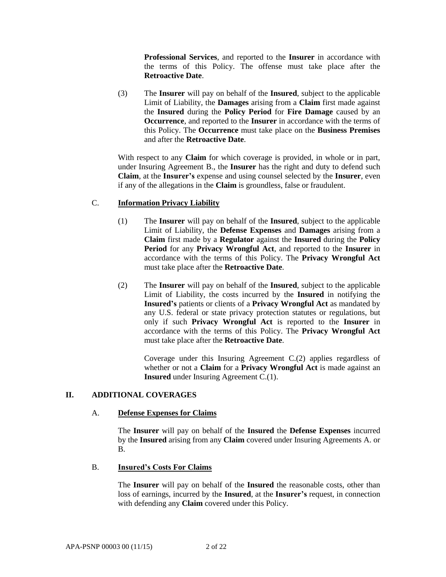**Professional Services**, and reported to the **Insurer** in accordance with the terms of this Policy. The offense must take place after the **Retroactive Date**.

(3) The **Insurer** will pay on behalf of the **Insured**, subject to the applicable Limit of Liability, the **Damages** arising from a **Claim** first made against the **Insured** during the **Policy Period** for **Fire Damage** caused by an **Occurrence**, and reported to the **Insurer** in accordance with the terms of this Policy. The **Occurrence** must take place on the **Business Premises** and after the **Retroactive Date**.

With respect to any **Claim** for which coverage is provided, in whole or in part, under Insuring Agreement B., the **Insurer** has the right and duty to defend such **Claim**, at the **Insurer's** expense and using counsel selected by the **Insurer**, even if any of the allegations in the **Claim** is groundless, false or fraudulent.

## C. **Information Privacy Liability**

- (1) The **Insurer** will pay on behalf of the **Insured**, subject to the applicable Limit of Liability, the **Defense Expenses** and **Damages** arising from a **Claim** first made by a **Regulator** against the **Insured** during the **Policy Period** for any **Privacy Wrongful Act**, and reported to the **Insurer** in accordance with the terms of this Policy. The **Privacy Wrongful Act**  must take place after the **Retroactive Date**.
- (2) The **Insurer** will pay on behalf of the **Insured**, subject to the applicable Limit of Liability, the costs incurred by the **Insured** in notifying the **Insured's** patients or clients of a **Privacy Wrongful Act** as mandated by any U.S. federal or state privacy protection statutes or regulations, but only if such **Privacy Wrongful Act** is reported to the **Insurer** in accordance with the terms of this Policy. The **Privacy Wrongful Act**  must take place after the **Retroactive Date**.

Coverage under this Insuring Agreement C.(2) applies regardless of whether or not a **Claim** for a **Privacy Wrongful Act** is made against an **Insured** under Insuring Agreement C.(1).

# **II. ADDITIONAL COVERAGES**

## A. **Defense Expenses for Claims**

The **Insurer** will pay on behalf of the **Insured** the **Defense Expenses** incurred by the **Insured** arising from any **Claim** covered under Insuring Agreements A. or B.

## B. **Insured's Costs For Claims**

The **Insurer** will pay on behalf of the **Insured** the reasonable costs, other than loss of earnings, incurred by the **Insured**, at the **Insurer's** request, in connection with defending any **Claim** covered under this Policy.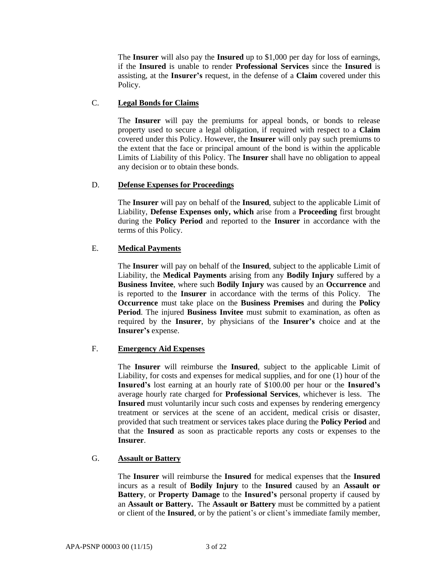The **Insurer** will also pay the **Insured** up to \$1,000 per day for loss of earnings, if the **Insured** is unable to render **Professional Services** since the **Insured** is assisting, at the **Insurer's** request, in the defense of a **Claim** covered under this Policy.

## C. **Legal Bonds for Claims**

The **Insurer** will pay the premiums for appeal bonds, or bonds to release property used to secure a legal obligation, if required with respect to a **Claim** covered under this Policy. However, the **Insurer** will only pay such premiums to the extent that the face or principal amount of the bond is within the applicable Limits of Liability of this Policy. The **Insurer** shall have no obligation to appeal any decision or to obtain these bonds.

## D. **Defense Expenses for Proceedings**

The **Insurer** will pay on behalf of the **Insured**, subject to the applicable Limit of Liability, **Defense Expenses only, which** arise from a **Proceeding** first brought during the **Policy Period** and reported to the **Insurer** in accordance with the terms of this Policy.

# E. **Medical Payments**

The **Insurer** will pay on behalf of the **Insured**, subject to the applicable Limit of Liability, the **Medical Payments** arising from any **Bodily Injury** suffered by a **Business Invitee**, where such **Bodily Injury** was caused by an **Occurrence** and is reported to the **Insurer** in accordance with the terms of this Policy. The **Occurrence** must take place on the **Business Premises** and during the **Policy Period**. The injured **Business Invitee** must submit to examination, as often as required by the **Insurer**, by physicians of the **Insurer's** choice and at the **Insurer's** expense.

## F. **Emergency Aid Expenses**

The **Insurer** will reimburse the **Insured**, subject to the applicable Limit of Liability, for costs and expenses for medical supplies, and for one (1) hour of the **Insured's** lost earning at an hourly rate of \$100.00 per hour or the **Insured's**  average hourly rate charged for **Professional Services**, whichever is less. The **Insured** must voluntarily incur such costs and expenses by rendering emergency treatment or services at the scene of an accident, medical crisis or disaster, provided that such treatment or services takes place during the **Policy Period** and that the **Insured** as soon as practicable reports any costs or expenses to the **Insurer**.

## G. **Assault or Battery**

The **Insurer** will reimburse the **Insured** for medical expenses that the **Insured** incurs as a result of **Bodily Injury** to the **Insured** caused by an **Assault or Battery**, or **Property Damage** to the **Insured's** personal property if caused by an **Assault or Battery.** The **Assault or Battery** must be committed by a patient or client of the **Insured**, or by the patient's or client's immediate family member,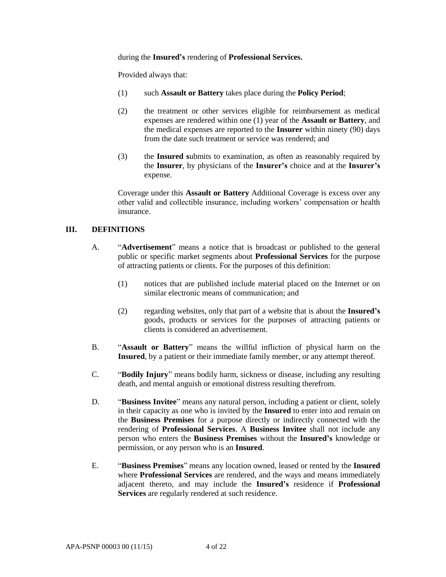#### during the **Insured's** rendering of **Professional Services.**

Provided always that:

- (1) such **Assault or Battery** takes place during the **Policy Period**;
- (2) the treatment or other services eligible for reimbursement as medical expenses are rendered within one (1) year of the **Assault or Battery**, and the medical expenses are reported to the **Insurer** within ninety (90) days from the date such treatment or service was rendered; and
- (3) the **Insured s**ubmits to examination, as often as reasonably required by the **Insurer**, by physicians of the **Insurer's** choice and at the **Insurer's** expense.

Coverage under this **Assault or Battery** Additional Coverage is excess over any other valid and collectible insurance, including workers' compensation or health insurance.

## **III. DEFINITIONS**

- A. "**Advertisement**" means a notice that is broadcast or published to the general public or specific market segments about **Professional Services** for the purpose of attracting patients or clients. For the purposes of this definition:
	- (1) notices that are published include material placed on the Internet or on similar electronic means of communication; and
	- (2) regarding websites, only that part of a website that is about the **Insured's** goods, products or services for the purposes of attracting patients or clients is considered an advertisement.
- B. "**Assault or Battery**" means the willful infliction of physical harm on the **Insured**, by a patient or their immediate family member, or any attempt thereof.
- C. "**Bodily Injury**" means bodily harm, sickness or disease, including any resulting death, and mental anguish or emotional distress resulting therefrom.
- D. "**Business Invitee**" means any natural person, including a patient or client, solely in their capacity as one who is invited by the **Insured** to enter into and remain on the **Business Premises** for a purpose directly or indirectly connected with the rendering of **Professional Services**. A **Business Invitee** shall not include any person who enters the **Business Premises** without the **Insured's** knowledge or permission, or any person who is an **Insured**.
- E. "**Business Premises**" means any location owned, leased or rented by the **Insured**  where **Professional Services** are rendered, and the ways and means immediately adjacent thereto, and may include the **Insured's** residence if **Professional Services** are regularly rendered at such residence.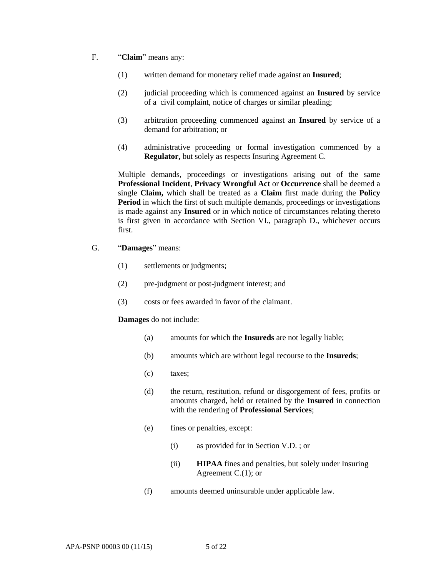- F. "**Claim**" means any:
	- (1) written demand for monetary relief made against an **Insured**;
	- (2) judicial proceeding which is commenced against an **Insured** by service of a civil complaint, notice of charges or similar pleading;
	- (3) arbitration proceeding commenced against an **Insured** by service of a demand for arbitration; or
	- (4) administrative proceeding or formal investigation commenced by a **Regulator,** but solely as respects Insuring Agreement C.

Multiple demands, proceedings or investigations arising out of the same **Professional Incident**, **Privacy Wrongful Act** or **Occurrence** shall be deemed a single **Claim,** which shall be treated as a **Claim** first made during the **Policy Period** in which the first of such multiple demands, proceedings or investigations is made against any **Insured** or in which notice of circumstances relating thereto is first given in accordance with Section VI., paragraph D., whichever occurs first.

- G. "**Damages**" means:
	- (1) settlements or judgments;
	- (2) pre-judgment or post-judgment interest; and
	- (3) costs or fees awarded in favor of the claimant.

#### **Damages** do not include:

- (a) amounts for which the **Insureds** are not legally liable;
- (b) amounts which are without legal recourse to the **Insureds**;
- (c) taxes;
- (d) the return, restitution, refund or disgorgement of fees, profits or amounts charged, held or retained by the **Insured** in connection with the rendering of **Professional Services**;
- (e) fines or penalties, except:
	- (i) as provided for in Section V.D. ; or
	- (ii) **HIPAA** fines and penalties, but solely under Insuring Agreement C.(1); or
- (f) amounts deemed uninsurable under applicable law.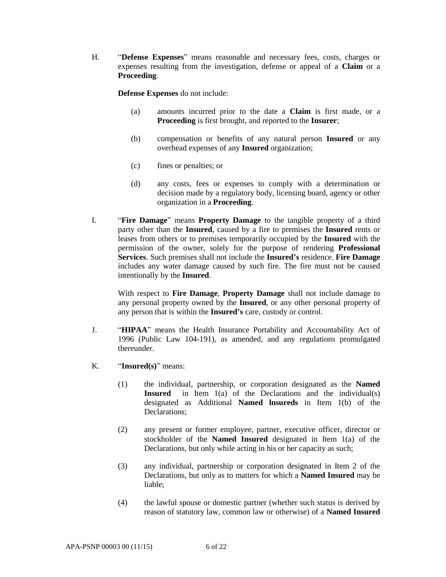H. "**Defense Expenses**" means reasonable and necessary fees, costs, charges or expenses resulting from the investigation, defense or appeal of a **Claim** or a **Proceeding**.

**Defense Expenses** do not include:

- (a) amounts incurred prior to the date a **Claim** is first made, or a **Proceeding** is first brought, and reported to the **Insurer**;
- (b) compensation or benefits of any natural person **Insured** or any overhead expenses of any **Insured** organization;
- (c) fines or penalties; or
- (d) any costs, fees or expenses to comply with a determination or decision made by a regulatory body, licensing board, agency or other organization in a **Proceeding**.
- I. "**Fire Damage**" means **Property Damage** to the tangible property of a third party other than the **Insured**, caused by a fire to premises the **Insured** rents or leases from others or to premises temporarily occupied by the **Insured** with the permission of the owner, solely for the purpose of rendering **Professional Services**. Such premises shall not include the **Insured's** residence. **Fire Damage** includes any water damage caused by such fire. The fire must not be caused intentionally by the **Insured**.

With respect to **Fire Damage**, **Property Damage** shall not include damage to any personal property owned by the **Insured**, or any other personal property of any person that is within the **Insured's** care, custody or control.

- J. "**HIPAA**" means the Health Insurance Portability and Accountability Act of 1996 (Public Law 104-191), as amended, and any regulations promulgated thereunder.
- K. "**Insured(s)**" means:
	- (1) the individual, partnership, or corporation designated as the **Named Insured** in Item 1(a) of the Declarations and the individual(s) designated as Additional **Named lnsureds** in Item 1(b) of the Declarations;
	- (2) any present or former employee, partner, executive officer, director or stockholder of the **Named Insured** designated in Item 1(a) of the Declarations, but only while acting in his or her capacity as such;
	- (3) any individual, partnership or corporation designated in Item 2 of the Declarations, but only as to matters for which a **Named Insured** may be liable;
	- (4) the lawful spouse or domestic partner (whether such status is derived by reason of statutory law, common law or otherwise) of a **Named Insured**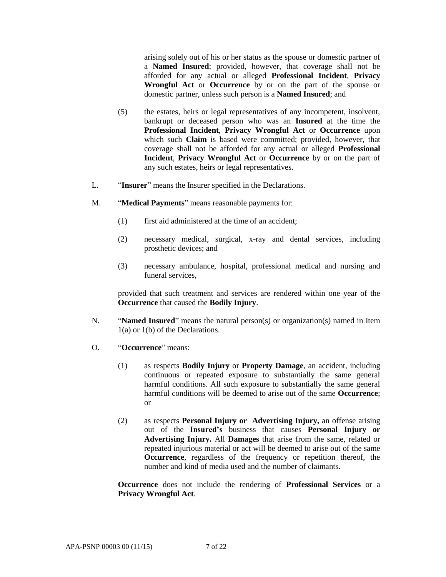arising solely out of his or her status as the spouse or domestic partner of a **Named Insured**; provided, however, that coverage shall not be afforded for any actual or alleged **Professional Incident**, **Privacy Wrongful Act** or **Occurrence** by or on the part of the spouse or domestic partner, unless such person is a **Named Insured**; and

- (5) the estates, heirs or legal representatives of any incompetent, insolvent, bankrupt or deceased person who was an **Insured** at the time the **Professional Incident**, **Privacy Wrongful Act** or **Occurrence** upon which such **Claim** is based were committed; provided, however, that coverage shall not be afforded for any actual or alleged **Professional Incident**, **Privacy Wrongful Act** or **Occurrence** by or on the part of any such estates, heirs or legal representatives.
- L. "**Insurer**" means the Insurer specified in the Declarations.
- M. "**Medical Payments**" means reasonable payments for:
	- (1) first aid administered at the time of an accident;
	- (2) necessary medical, surgical, x-ray and dental services, including prosthetic devices; and
	- (3) necessary ambulance, hospital, professional medical and nursing and funeral services,

provided that such treatment and services are rendered within one year of the **Occurrence** that caused the **Bodily Injury**.

- N. "**Named Insured**" means the natural person(s) or organization(s) named in Item 1(a) or 1(b) of the Declarations.
- O. "**Occurrence**" means:
	- (1) as respects **Bodily Injury** or **Property Damage**, an accident, including continuous or repeated exposure to substantially the same general harmful conditions. All such exposure to substantially the same general harmful conditions will be deemed to arise out of the same **Occurrence**; or
	- (2) as respects **Personal Injury or Advertising Injury,** an offense arising out of the **Insured's** business that causes **Personal Injury or Advertising Injury.** All **Damages** that arise from the same, related or repeated injurious material or act will be deemed to arise out of the same **Occurrence**, regardless of the frequency or repetition thereof, the number and kind of media used and the number of claimants.

**Occurrence** does not include the rendering of **Professional Services** or a **Privacy Wrongful Act**.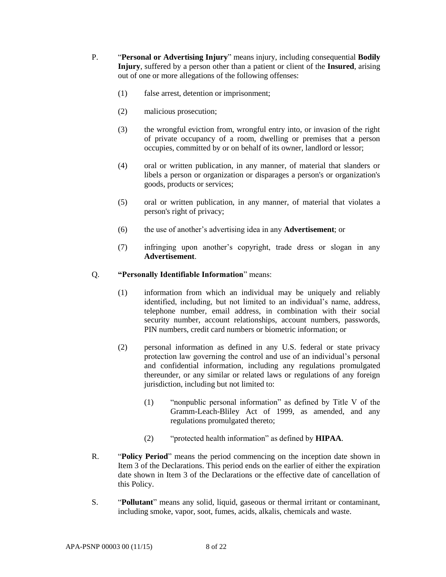- P. "**Personal or Advertising Injury**" means injury, including consequential **Bodily Injury**, suffered by a person other than a patient or client of the **Insured**, arising out of one or more allegations of the following offenses:
	- (1) false arrest, detention or imprisonment;
	- (2) malicious prosecution;
	- (3) the wrongful eviction from, wrongful entry into, or invasion of the right of private occupancy of a room, dwelling or premises that a person occupies, committed by or on behalf of its owner, landlord or lessor;
	- (4) oral or written publication, in any manner, of material that slanders or libels a person or organization or disparages a person's or organization's goods, products or services;
	- (5) oral or written publication, in any manner, of material that violates a person's right of privacy;
	- (6) the use of another's advertising idea in any **Advertisement**; or
	- (7) infringing upon another's copyright, trade dress or slogan in any **Advertisement**.

## Q. **"Personally Identifiable Information**" means:

- (1) information from which an individual may be uniquely and reliably identified, including, but not limited to an individual's name, address, telephone number, email address, in combination with their social security number, account relationships, account numbers, passwords, PIN numbers, credit card numbers or biometric information; or
- (2) personal information as defined in any U.S. federal or state privacy protection law governing the control and use of an individual's personal and confidential information, including any regulations promulgated thereunder, or any similar or related laws or regulations of any foreign jurisdiction, including but not limited to:
	- (1) "nonpublic personal information" as defined by Title V of the Gramm-Leach-Bliley Act of 1999, as amended, and any regulations promulgated thereto;
	- (2) "protected health information" as defined by **HIPAA**.
- R. "**Policy Period**" means the period commencing on the inception date shown in Item 3 of the Declarations. This period ends on the earlier of either the expiration date shown in Item 3 of the Declarations or the effective date of cancellation of this Policy.
- S. "**Pollutant**" means any solid, liquid, gaseous or thermal irritant or contaminant, including smoke, vapor, soot, fumes, acids, alkalis, chemicals and waste.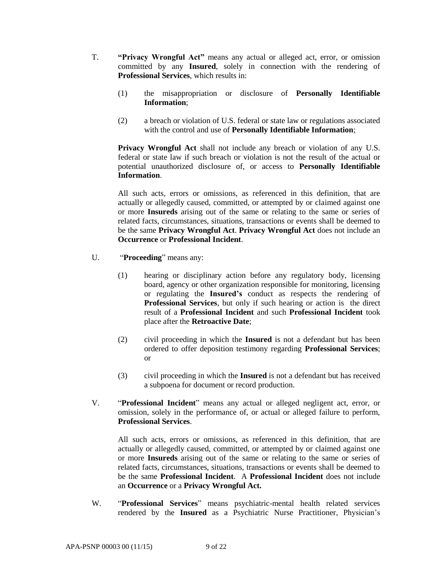- T. **"Privacy Wrongful Act"** means any actual or alleged act, error, or omission committed by any **Insured**, solely in connection with the rendering of **Professional Services**, which results in:
	- (1) the misappropriation or disclosure of **Personally Identifiable Information**;
	- (2) a breach or violation of U.S. federal or state law or regulations associated with the control and use of **Personally Identifiable Information**;

**Privacy Wrongful Act** shall not include any breach or violation of any U.S. federal or state law if such breach or violation is not the result of the actual or potential unauthorized disclosure of, or access to **Personally Identifiable Information**.

All such acts, errors or omissions, as referenced in this definition, that are actually or allegedly caused, committed, or attempted by or claimed against one or more **Insureds** arising out of the same or relating to the same or series of related facts, circumstances, situations, transactions or events shall be deemed to be the same **Privacy Wrongful Act**. **Privacy Wrongful Act** does not include an **Occurrence** or **Professional Incident**.

- U. "**Proceeding**" means any:
	- (1) hearing or disciplinary action before any regulatory body, licensing board, agency or other organization responsible for monitoring, licensing or regulating the **Insured's** conduct as respects the rendering of **Professional Services**, but only if such hearing or action is the direct result of a **Professional Incident** and such **Professional Incident** took place after the **Retroactive Date**;
	- (2) civil proceeding in which the **Insured** is not a defendant but has been ordered to offer deposition testimony regarding **Professional Services**; or
	- (3) civil proceeding in which the **Insured** is not a defendant but has received a subpoena for document or record production.
- V. "**Professional Incident**" means any actual or alleged negligent act, error, or omission, solely in the performance of, or actual or alleged failure to perform, **Professional Services**.

All such acts, errors or omissions, as referenced in this definition, that are actually or allegedly caused, committed, or attempted by or claimed against one or more **Insureds** arising out of the same or relating to the same or series of related facts, circumstances, situations, transactions or events shall be deemed to be the same **Professional Incident**. A **Professional Incident** does not include an **Occurrence** or a **Privacy Wrongful Act.**

W. "**Professional Services**" means psychiatric-mental health related services rendered by the **Insured** as a Psychiatric Nurse Practitioner, Physician's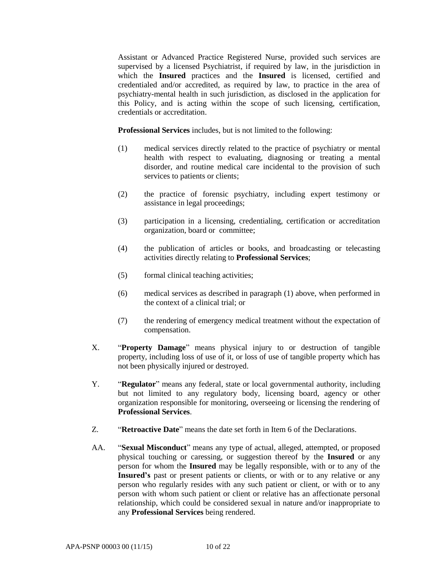Assistant or Advanced Practice Registered Nurse, provided such services are supervised by a licensed Psychiatrist, if required by law, in the jurisdiction in which the **Insured** practices and the **Insured** is licensed, certified and credentialed and/or accredited, as required by law, to practice in the area of psychiatry-mental health in such jurisdiction, as disclosed in the application for this Policy, and is acting within the scope of such licensing, certification, credentials or accreditation.

**Professional Services** includes, but is not limited to the following:

- (1) medical services directly related to the practice of psychiatry or mental health with respect to evaluating, diagnosing or treating a mental disorder, and routine medical care incidental to the provision of such services to patients or clients;
- (2) the practice of forensic psychiatry, including expert testimony or assistance in legal proceedings;
- (3) participation in a licensing, credentialing, certification or accreditation organization, board or committee;
- (4) the publication of articles or books, and broadcasting or telecasting activities directly relating to **Professional Services**;
- (5) formal clinical teaching activities;
- (6) medical services as described in paragraph (1) above, when performed in the context of a clinical trial; or
- (7) the rendering of emergency medical treatment without the expectation of compensation.
- X. "**Property Damage**" means physical injury to or destruction of tangible property, including loss of use of it, or loss of use of tangible property which has not been physically injured or destroyed.
- Y. "**Regulator**" means any federal, state or local governmental authority, including but not limited to any regulatory body, licensing board, agency or other organization responsible for monitoring, overseeing or licensing the rendering of **Professional Services**.
- Z. "**Retroactive Date**" means the date set forth in Item 6 of the Declarations.
- AA. "**Sexual Misconduct**" means any type of actual, alleged, attempted, or proposed physical touching or caressing, or suggestion thereof by the **Insured** or any person for whom the **Insured** may be legally responsible, with or to any of the **Insured's** past or present patients or clients, or with or to any relative or any person who regularly resides with any such patient or client, or with or to any person with whom such patient or client or relative has an affectionate personal relationship, which could be considered sexual in nature and/or inappropriate to any **Professional Services** being rendered.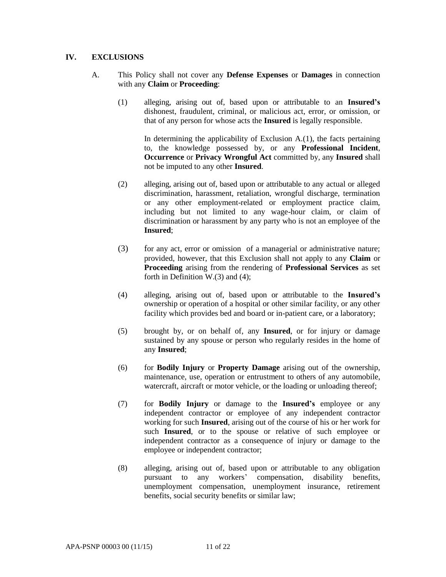## **IV. EXCLUSIONS**

- A. This Policy shall not cover any **Defense Expenses** or **Damages** in connection with any **Claim** or **Proceeding**:
	- (1) alleging, arising out of, based upon or attributable to an **Insured's** dishonest, fraudulent, criminal, or malicious act, error, or omission, or that of any person for whose acts the **Insured** is legally responsible.

In determining the applicability of Exclusion A.(1), the facts pertaining to, the knowledge possessed by, or any **Professional Incident**, **Occurrence** or **Privacy Wrongful Act** committed by, any **Insured** shall not be imputed to any other **Insured**.

- (2) alleging, arising out of, based upon or attributable to any actual or alleged discrimination, harassment, retaliation, wrongful discharge, termination or any other employment-related or employment practice claim, including but not limited to any wage-hour claim, or claim of discrimination or harassment by any party who is not an employee of the **Insured**;
- (3) for any act, error or omission of a managerial or administrative nature; provided, however, that this Exclusion shall not apply to any **Claim** or **Proceeding** arising from the rendering of **Professional Services** as set forth in Definition W.(3) and (4);
- (4) alleging, arising out of, based upon or attributable to the **Insured's** ownership or operation of a hospital or other similar facility, or any other facility which provides bed and board or in-patient care, or a laboratory;
- (5) brought by, or on behalf of, any **Insured**, or for injury or damage sustained by any spouse or person who regularly resides in the home of any **Insured**;
- (6) for **Bodily Injury** or **Property Damage** arising out of the ownership, maintenance, use, operation or entrustment to others of any automobile, watercraft, aircraft or motor vehicle, or the loading or unloading thereof;
- (7) for **Bodily Injury** or damage to the **Insured's** employee or any independent contractor or employee of any independent contractor working for such **Insured**, arising out of the course of his or her work for such Insured, or to the spouse or relative of such employee or independent contractor as a consequence of injury or damage to the employee or independent contractor;
- (8) alleging, arising out of, based upon or attributable to any obligation pursuant to any workers' compensation, disability benefits, unemployment compensation, unemployment insurance, retirement benefits, social security benefits or similar law;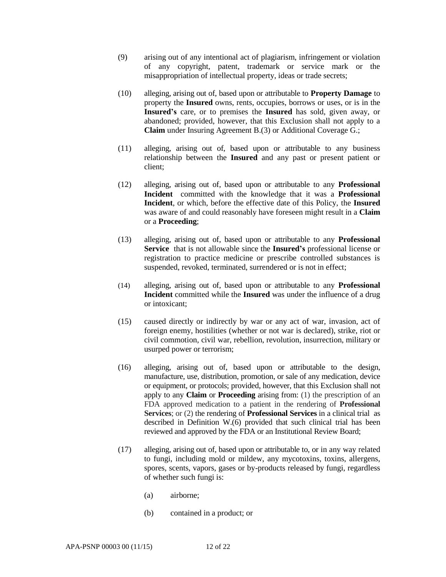- (9) arising out of any intentional act of plagiarism, infringement or violation of any copyright, patent, trademark or service mark or the misappropriation of intellectual property, ideas or trade secrets;
- (10) alleging, arising out of, based upon or attributable to **Property Damage** to property the **Insured** owns, rents, occupies, borrows or uses, or is in the **Insured's** care, or to premises the **Insured** has sold, given away, or abandoned; provided, however, that this Exclusion shall not apply to a **Claim** under Insuring Agreement B.(3) or Additional Coverage G.;
- (11) alleging, arising out of, based upon or attributable to any business relationship between the **Insured** and any past or present patient or client;
- (12) alleging, arising out of, based upon or attributable to any **Professional Incident** committed with the knowledge that it was a **Professional Incident**, or which, before the effective date of this Policy, the **Insured** was aware of and could reasonably have foreseen might result in a **Claim** or a **Proceeding**;
- (13) alleging, arising out of, based upon or attributable to any **Professional Service** that is not allowable since the **Insured's** professional license or registration to practice medicine or prescribe controlled substances is suspended, revoked, terminated, surrendered or is not in effect;
- (14) alleging, arising out of, based upon or attributable to any **Professional Incident** committed while the **Insured** was under the influence of a drug or intoxicant;
- (15) caused directly or indirectly by war or any act of war, invasion, act of foreign enemy, hostilities (whether or not war is declared), strike, riot or civil commotion, civil war, rebellion, revolution, insurrection, military or usurped power or terrorism;
- (16) alleging, arising out of, based upon or attributable to the design, manufacture, use, distribution, promotion, or sale of any medication, device or equipment, or protocols; provided, however, that this Exclusion shall not apply to any **Claim** or **Proceeding** arising from: (1) the prescription of an FDA approved medication to a patient in the rendering of **Professional Services**; or (2) the rendering of **Professional Services** in a clinical trial as described in Definition W.(6) provided that such clinical trial has been reviewed and approved by the FDA or an Institutional Review Board;
- (17) alleging, arising out of, based upon or attributable to, or in any way related to fungi, including mold or mildew, any mycotoxins, toxins, allergens, spores, scents, vapors, gases or by-products released by fungi, regardless of whether such fungi is:
	- (a) airborne;
	- (b) contained in a product; or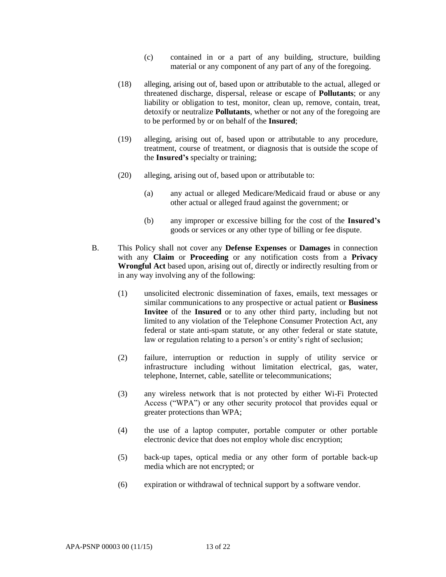- (c) contained in or a part of any building, structure, building material or any component of any part of any of the foregoing.
- (18) alleging, arising out of, based upon or attributable to the actual, alleged or threatened discharge, dispersal, release or escape of **Pollutants**; or any liability or obligation to test, monitor, clean up, remove, contain, treat, detoxify or neutralize **Pollutants**, whether or not any of the foregoing are to be performed by or on behalf of the **Insured**;
- (19) alleging, arising out of, based upon or attributable to any procedure, treatment, course of treatment, or diagnosis that is outside the scope of the **Insured's** specialty or training;
- (20) alleging, arising out of, based upon or attributable to:
	- (a) any actual or alleged Medicare/Medicaid fraud or abuse or any other actual or alleged fraud against the government; or
	- (b) any improper or excessive billing for the cost of the **Insured's** goods or services or any other type of billing or fee dispute.
- B. This Policy shall not cover any **Defense Expenses** or **Damages** in connection with any **Claim** or **Proceeding** or any notification costs from a **Privacy Wrongful Act** based upon, arising out of, directly or indirectly resulting from or in any way involving any of the following:
	- (1) unsolicited electronic dissemination of faxes, emails, text messages or similar communications to any prospective or actual patient or **Business Invitee** of the **Insured** or to any other third party, including but not limited to any violation of the Telephone Consumer Protection Act, any federal or state anti-spam statute, or any other federal or state statute, law or regulation relating to a person's or entity's right of seclusion;
	- (2) failure, interruption or reduction in supply of utility service or infrastructure including without limitation electrical, gas, water, telephone, Internet, cable, satellite or telecommunications;
	- (3) any wireless network that is not protected by either Wi-Fi Protected Access ("WPA") or any other security protocol that provides equal or greater protections than WPA;
	- (4) the use of a laptop computer, portable computer or other portable electronic device that does not employ whole disc encryption;
	- (5) back-up tapes, optical media or any other form of portable back-up media which are not encrypted; or
	- (6) expiration or withdrawal of technical support by a software vendor.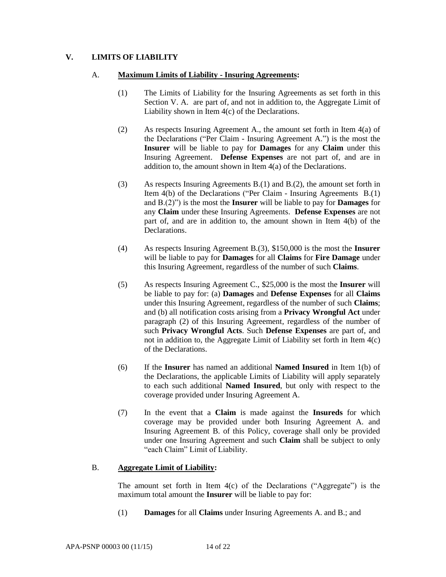## **V. LIMITS OF LIABILITY**

#### A. **Maximum Limits of Liability - Insuring Agreements:**

- (1) The Limits of Liability for the Insuring Agreements as set forth in this Section V. A. are part of, and not in addition to, the Aggregate Limit of Liability shown in Item 4(c) of the Declarations.
- (2) As respects Insuring Agreement A., the amount set forth in Item 4(a) of the Declarations ("Per Claim - Insuring Agreement A.") is the most the **Insurer** will be liable to pay for **Damages** for any **Claim** under this Insuring Agreement. **Defense Expenses** are not part of, and are in addition to, the amount shown in Item 4(a) of the Declarations.
- (3) As respects Insuring Agreements B.(1) and B.(2), the amount set forth in Item 4(b) of the Declarations ("Per Claim - Insuring Agreements B.(1) and B.(2)") is the most the **Insurer** will be liable to pay for **Damages** for any **Claim** under these Insuring Agreements. **Defense Expenses** are not part of, and are in addition to, the amount shown in Item 4(b) of the **Declarations**
- (4) As respects Insuring Agreement B.(3), \$150,000 is the most the **Insurer** will be liable to pay for **Damages** for all **Claims** for **Fire Damage** under this Insuring Agreement, regardless of the number of such **Claims**.
- (5) As respects Insuring Agreement C., \$25,000 is the most the **Insurer** will be liable to pay for: (a) **Damages** and **Defense Expenses** for all **Claims**  under this Insuring Agreement, regardless of the number of such **Claims**; and (b) all notification costs arising from a **Privacy Wrongful Act** under paragraph (2) of this Insuring Agreement, regardless of the number of such **Privacy Wrongful Acts**. Such **Defense Expenses** are part of, and not in addition to, the Aggregate Limit of Liability set forth in Item 4(c) of the Declarations.
- (6) If the **Insurer** has named an additional **Named Insured** in Item 1(b) of the Declarations, the applicable Limits of Liability will apply separately to each such additional **Named Insured**, but only with respect to the coverage provided under Insuring Agreement A.
- (7) In the event that a **Claim** is made against the **Insureds** for which coverage may be provided under both Insuring Agreement A. and Insuring Agreement B. of this Policy, coverage shall only be provided under one Insuring Agreement and such **Claim** shall be subject to only "each Claim" Limit of Liability.

## B. **Aggregate Limit of Liability:**

The amount set forth in Item  $4(c)$  of the Declarations ("Aggregate") is the maximum total amount the **Insurer** will be liable to pay for:

(1) **Damages** for all **Claims** under Insuring Agreements A. and B.; and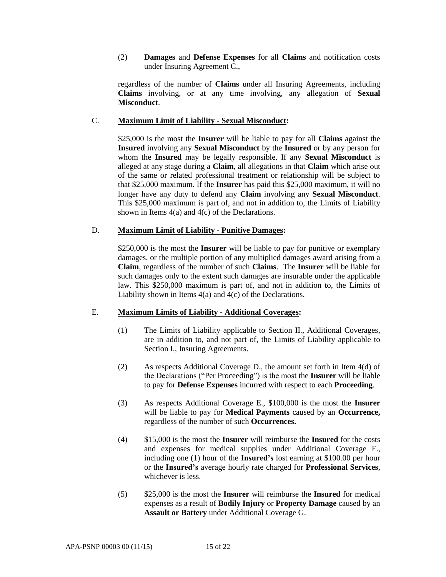(2) **Damages** and **Defense Expenses** for all **Claims** and notification costs under Insuring Agreement C.,

regardless of the number of **Claims** under all Insuring Agreements, including **Claims** involving, or at any time involving, any allegation of **Sexual Misconduct**.

## C. **Maximum Limit of Liability - Sexual Misconduct:**

\$25,000 is the most the **Insurer** will be liable to pay for all **Claims** against the **Insured** involving any **Sexual Misconduct** by the **Insured** or by any person for whom the **Insured** may be legally responsible. If any **Sexual Misconduct** is alleged at any stage during a **Claim**, all allegations in that **Claim** which arise out of the same or related professional treatment or relationship will be subject to that \$25,000 maximum. If the **Insurer** has paid this \$25,000 maximum, it will no longer have any duty to defend any **Claim** involving any **Sexual Misconduct**. This \$25,000 maximum is part of, and not in addition to, the Limits of Liability shown in Items 4(a) and 4(c) of the Declarations.

## D. **Maximum Limit of Liability - Punitive Damages:**

\$250,000 is the most the **Insurer** will be liable to pay for punitive or exemplary damages, or the multiple portion of any multiplied damages award arising from a **Claim**, regardless of the number of such **Claims**. The **Insurer** will be liable for such damages only to the extent such damages are insurable under the applicable law. This \$250,000 maximum is part of, and not in addition to, the Limits of Liability shown in Items 4(a) and 4(c) of the Declarations.

## E. **Maximum Limits of Liability - Additional Coverages:**

- (1) The Limits of Liability applicable to Section II., Additional Coverages, are in addition to, and not part of, the Limits of Liability applicable to Section I., Insuring Agreements.
- (2) As respects Additional Coverage D., the amount set forth in Item  $4(d)$  of the Declarations ("Per Proceeding") is the most the **Insurer** will be liable to pay for **Defense Expenses** incurred with respect to each **Proceeding**.
- (3) As respects Additional Coverage E., \$100,000 is the most the **Insurer** will be liable to pay for **Medical Payments** caused by an **Occurrence,**  regardless of the number of such **Occurrences.**
- (4) \$15,000 is the most the **Insurer** will reimburse the **Insured** for the costs and expenses for medical supplies under Additional Coverage F., including one (1) hour of the **Insured's** lost earning at \$100.00 per hour or the **Insured's** average hourly rate charged for **Professional Services**, whichever is less.
- (5) \$25,000 is the most the **Insurer** will reimburse the **Insured** for medical expenses as a result of **Bodily Injury** or **Property Damage** caused by an **Assault or Battery** under Additional Coverage G.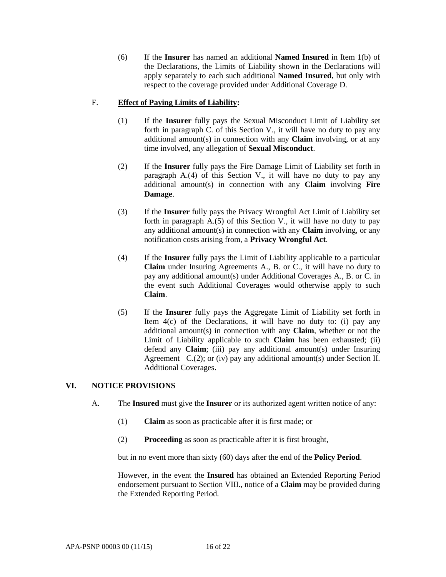(6) If the **Insurer** has named an additional **Named Insured** in Item 1(b) of the Declarations, the Limits of Liability shown in the Declarations will apply separately to each such additional **Named Insured**, but only with respect to the coverage provided under Additional Coverage D.

## F. **Effect of Paying Limits of Liability:**

- (1) If the **Insurer** fully pays the Sexual Misconduct Limit of Liability set forth in paragraph C. of this Section V., it will have no duty to pay any additional amount(s) in connection with any **Claim** involving, or at any time involved, any allegation of **Sexual Misconduct**.
- (2) If the **Insurer** fully pays the Fire Damage Limit of Liability set forth in paragraph A.(4) of this Section V., it will have no duty to pay any additional amount(s) in connection with any **Claim** involving **Fire Damage**.
- (3) If the **Insurer** fully pays the Privacy Wrongful Act Limit of Liability set forth in paragraph  $A(5)$  of this Section V., it will have no duty to pay any additional amount(s) in connection with any **Claim** involving, or any notification costs arising from, a **Privacy Wrongful Act**.
- (4) If the **Insurer** fully pays the Limit of Liability applicable to a particular **Claim** under Insuring Agreements A., B. or C., it will have no duty to pay any additional amount(s) under Additional Coverages A., B. or C. in the event such Additional Coverages would otherwise apply to such **Claim**.
- (5) If the **Insurer** fully pays the Aggregate Limit of Liability set forth in Item 4(c) of the Declarations, it will have no duty to: (i) pay any additional amount(s) in connection with any **Claim**, whether or not the Limit of Liability applicable to such **Claim** has been exhausted; (ii) defend any **Claim**; (iii) pay any additional amount(s) under Insuring Agreement  $C.(2)$ ; or (iv) pay any additional amount(s) under Section II. Additional Coverages.

## **VI. NOTICE PROVISIONS**

- A. The **Insured** must give the **Insurer** or its authorized agent written notice of any:
	- (1) **Claim** as soon as practicable after it is first made; or
	- (2) **Proceeding** as soon as practicable after it is first brought,

but in no event more than sixty (60) days after the end of the **Policy Period**.

However, in the event the **Insured** has obtained an Extended Reporting Period endorsement pursuant to Section VIII., notice of a **Claim** may be provided during the Extended Reporting Period.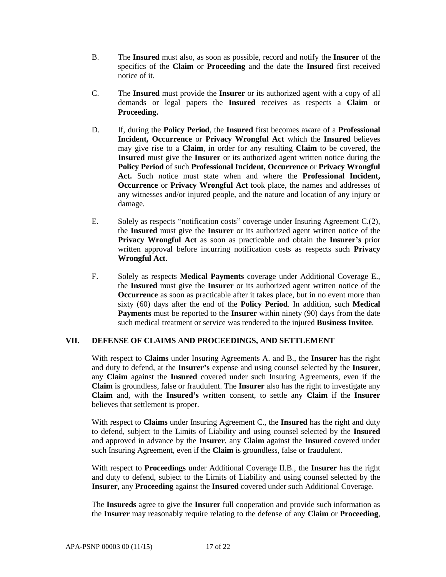- B. The **Insured** must also, as soon as possible, record and notify the **Insurer** of the specifics of the **Claim** or **Proceeding** and the date the **Insured** first received notice of it.
- C. The **Insured** must provide the **Insurer** or its authorized agent with a copy of all demands or legal papers the **Insured** receives as respects a **Claim** or **Proceeding.**
- D. If, during the **Policy Period**, the **Insured** first becomes aware of a **Professional Incident, Occurrence** or **Privacy Wrongful Act** which the **Insured** believes may give rise to a **Claim**, in order for any resulting **Claim** to be covered, the **Insured** must give the **Insurer** or its authorized agent written notice during the **Policy Period** of such **Professional Incident, Occurrence** or **Privacy Wrongful Act.** Such notice must state when and where the **Professional Incident, Occurrence** or **Privacy Wrongful Act** took place, the names and addresses of any witnesses and/or injured people, and the nature and location of any injury or damage.
- E. Solely as respects "notification costs" coverage under Insuring Agreement C.(2), the **Insured** must give the **Insurer** or its authorized agent written notice of the **Privacy Wrongful Act** as soon as practicable and obtain the **Insurer's** prior written approval before incurring notification costs as respects such **Privacy Wrongful Act**.
- F. Solely as respects **Medical Payments** coverage under Additional Coverage E., the **Insured** must give the **Insurer** or its authorized agent written notice of the **Occurrence** as soon as practicable after it takes place, but in no event more than sixty (60) days after the end of the **Policy Period**. In addition, such **Medical Payments** must be reported to the **Insurer** within ninety (90) days from the date such medical treatment or service was rendered to the injured **Business Invitee**.

## **VII. DEFENSE OF CLAIMS AND PROCEEDINGS, AND SETTLEMENT**

With respect to **Claims** under Insuring Agreements A. and B., the **Insurer** has the right and duty to defend, at the **Insurer's** expense and using counsel selected by the **Insurer**, any **Claim** against the **Insured** covered under such Insuring Agreements, even if the **Claim** is groundless, false or fraudulent. The **Insurer** also has the right to investigate any **Claim** and, with the **Insured's** written consent, to settle any **Claim** if the **Insurer** believes that settlement is proper.

With respect to **Claims** under Insuring Agreement C., the **Insured** has the right and duty to defend, subject to the Limits of Liability and using counsel selected by the **Insured** and approved in advance by the **Insurer**, any **Claim** against the **Insured** covered under such Insuring Agreement, even if the **Claim** is groundless, false or fraudulent.

With respect to **Proceedings** under Additional Coverage II.B., the **Insurer** has the right and duty to defend, subject to the Limits of Liability and using counsel selected by the **Insurer**, any **Proceeding** against the **Insured** covered under such Additional Coverage.

The **Insureds** agree to give the **Insurer** full cooperation and provide such information as the **Insurer** may reasonably require relating to the defense of any **Claim** or **Proceeding**,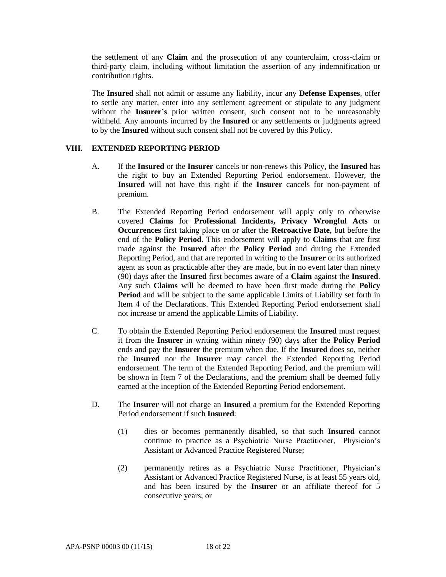the settlement of any **Claim** and the prosecution of any counterclaim, cross-claim or third-party claim, including without limitation the assertion of any indemnification or contribution rights.

The **Insured** shall not admit or assume any liability, incur any **Defense Expenses**, offer to settle any matter, enter into any settlement agreement or stipulate to any judgment without the **Insurer's** prior written consent, such consent not to be unreasonably withheld. Any amounts incurred by the **Insured** or any settlements or judgments agreed to by the **Insured** without such consent shall not be covered by this Policy.

#### **VIII. EXTENDED REPORTING PERIOD**

- A. If the **Insured** or the **Insurer** cancels or non-renews this Policy, the **Insured** has the right to buy an Extended Reporting Period endorsement. However, the **Insured** will not have this right if the **Insurer** cancels for non-payment of premium.
- B. The Extended Reporting Period endorsement will apply only to otherwise covered **Claims** for **Professional Incidents, Privacy Wrongful Acts** or **Occurrences** first taking place on or after the **Retroactive Date**, but before the end of the **Policy Period**. This endorsement will apply to **Claims** that are first made against the **Insured** after the **Policy Period** and during the Extended Reporting Period, and that are reported in writing to the **Insurer** or its authorized agent as soon as practicable after they are made, but in no event later than ninety (90) days after the **Insured** first becomes aware of a **Claim** against the **Insured**. Any such **Claims** will be deemed to have been first made during the **Policy Period** and will be subject to the same applicable Limits of Liability set forth in Item 4 of the Declarations. This Extended Reporting Period endorsement shall not increase or amend the applicable Limits of Liability.
- C. To obtain the Extended Reporting Period endorsement the **Insured** must request it from the **Insurer** in writing within ninety (90) days after the **Policy Period** ends and pay the **Insurer** the premium when due. If the **Insured** does so, neither the **Insured** nor the **Insurer** may cancel the Extended Reporting Period endorsement. The term of the Extended Reporting Period, and the premium will be shown in Item 7 of the Declarations, and the premium shall be deemed fully earned at the inception of the Extended Reporting Period endorsement.
- D. The **Insurer** will not charge an **Insured** a premium for the Extended Reporting Period endorsement if such **Insured**:
	- (1) dies or becomes permanently disabled, so that such **Insured** cannot continue to practice as a Psychiatric Nurse Practitioner, Physician's Assistant or Advanced Practice Registered Nurse;
	- (2) permanently retires as a Psychiatric Nurse Practitioner, Physician's Assistant or Advanced Practice Registered Nurse, is at least 55 years old, and has been insured by the **Insurer** or an affiliate thereof for 5 consecutive years; or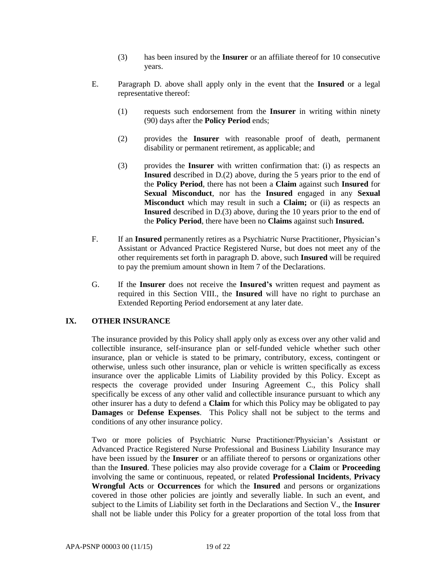- (3) has been insured by the **Insurer** or an affiliate thereof for 10 consecutive years.
- E. Paragraph D. above shall apply only in the event that the **Insured** or a legal representative thereof:
	- (1) requests such endorsement from the **Insurer** in writing within ninety (90) days after the **Policy Period** ends;
	- (2) provides the **Insurer** with reasonable proof of death, permanent disability or permanent retirement, as applicable; and
	- (3) provides the **Insurer** with written confirmation that: (i) as respects an **Insured** described in D.(2) above, during the 5 years prior to the end of the **Policy Period**, there has not been a **Claim** against such **Insured** for **Sexual Misconduct**, nor has the **Insured** engaged in any **Sexual Misconduct** which may result in such a **Claim;** or (ii) as respects an **Insured** described in D.(3) above, during the 10 years prior to the end of the **Policy Period**, there have been no **Claims** against such **Insured.**
- F. If an **Insured** permanently retires as a Psychiatric Nurse Practitioner, Physician's Assistant or Advanced Practice Registered Nurse, but does not meet any of the other requirements set forth in paragraph D. above, such **Insured** will be required to pay the premium amount shown in Item 7 of the Declarations.
- G. If the **Insurer** does not receive the **Insured's** written request and payment as required in this Section VIII., the **Insured** will have no right to purchase an Extended Reporting Period endorsement at any later date.

## **IX. OTHER INSURANCE**

The insurance provided by this Policy shall apply only as excess over any other valid and collectible insurance, self-insurance plan or self-funded vehicle whether such other insurance, plan or vehicle is stated to be primary, contributory, excess, contingent or otherwise, unless such other insurance, plan or vehicle is written specifically as excess insurance over the applicable Limits of Liability provided by this Policy. Except as respects the coverage provided under Insuring Agreement C., this Policy shall specifically be excess of any other valid and collectible insurance pursuant to which any other insurer has a duty to defend a **Claim** for which this Policy may be obligated to pay **Damages** or **Defense Expenses**. This Policy shall not be subject to the terms and conditions of any other insurance policy.

Two or more policies of Psychiatric Nurse Practitioner/Physician's Assistant or Advanced Practice Registered Nurse Professional and Business Liability Insurance may have been issued by the **Insurer** or an affiliate thereof to persons or organizations other than the **Insured**. These policies may also provide coverage for a **Claim** or **Proceeding** involving the same or continuous, repeated, or related **Professional Incidents**, **Privacy Wrongful Acts** or **Occurrences** for which the **Insured** and persons or organizations covered in those other policies are jointly and severally liable. In such an event, and subject to the Limits of Liability set forth in the Declarations and Section V., the **Insurer**  shall not be liable under this Policy for a greater proportion of the total loss from that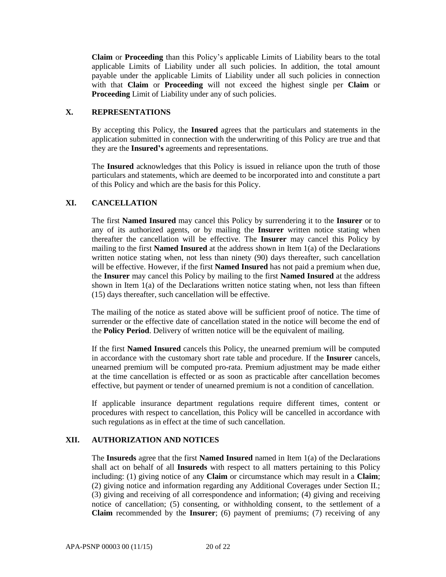**Claim** or **Proceeding** than this Policy's applicable Limits of Liability bears to the total applicable Limits of Liability under all such policies. In addition, the total amount payable under the applicable Limits of Liability under all such policies in connection with that **Claim** or **Proceeding** will not exceed the highest single per **Claim** or **Proceeding** Limit of Liability under any of such policies.

## **X. REPRESENTATIONS**

By accepting this Policy, the **Insured** agrees that the particulars and statements in the application submitted in connection with the underwriting of this Policy are true and that they are the **Insured's** agreements and representations.

The **Insured** acknowledges that this Policy is issued in reliance upon the truth of those particulars and statements, which are deemed to be incorporated into and constitute a part of this Policy and which are the basis for this Policy.

#### **XI. CANCELLATION**

The first **Named Insured** may cancel this Policy by surrendering it to the **Insurer** or to any of its authorized agents, or by mailing the **Insurer** written notice stating when thereafter the cancellation will be effective. The **Insurer** may cancel this Policy by mailing to the first **Named Insured** at the address shown in Item 1(a) of the Declarations written notice stating when, not less than ninety (90) days thereafter, such cancellation will be effective. However, if the first **Named Insured** has not paid a premium when due, the **Insurer** may cancel this Policy by mailing to the first **Named Insured** at the address shown in Item 1(a) of the Declarations written notice stating when, not less than fifteen (15) days thereafter, such cancellation will be effective.

The mailing of the notice as stated above will be sufficient proof of notice. The time of surrender or the effective date of cancellation stated in the notice will become the end of the **Policy Period**. Delivery of written notice will be the equivalent of mailing.

If the first **Named Insured** cancels this Policy, the unearned premium will be computed in accordance with the customary short rate table and procedure. If the **Insurer** cancels, unearned premium will be computed pro-rata. Premium adjustment may be made either at the time cancellation is effected or as soon as practicable after cancellation becomes effective, but payment or tender of unearned premium is not a condition of cancellation.

If applicable insurance department regulations require different times, content or procedures with respect to cancellation, this Policy will be cancelled in accordance with such regulations as in effect at the time of such cancellation.

#### **XII. AUTHORIZATION AND NOTICES**

The **Insureds** agree that the first **Named Insured** named in Item 1(a) of the Declarations shall act on behalf of all **Insureds** with respect to all matters pertaining to this Policy including: (1) giving notice of any **Claim** or circumstance which may result in a **Claim**; (2) giving notice and information regarding any Additional Coverages under Section II.; (3) giving and receiving of all correspondence and information; (4) giving and receiving notice of cancellation; (5) consenting, or withholding consent, to the settlement of a **Claim** recommended by the **Insurer**; (6) payment of premiums; (7) receiving of any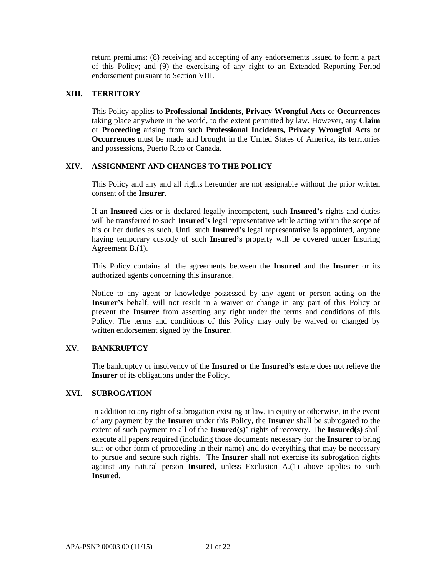return premiums; (8) receiving and accepting of any endorsements issued to form a part of this Policy; and (9) the exercising of any right to an Extended Reporting Period endorsement pursuant to Section VIII.

## **XIII. TERRITORY**

This Policy applies to **Professional Incidents, Privacy Wrongful Acts** or **Occurrences** taking place anywhere in the world, to the extent permitted by law. However, any **Claim**  or **Proceeding** arising from such **Professional Incidents, Privacy Wrongful Acts** or **Occurrences** must be made and brought in the United States of America, its territories and possessions, Puerto Rico or Canada.

## **XIV. ASSIGNMENT AND CHANGES TO THE POLICY**

This Policy and any and all rights hereunder are not assignable without the prior written consent of the **Insurer**.

If an **Insured** dies or is declared legally incompetent, such **Insured's** rights and duties will be transferred to such **Insured's** legal representative while acting within the scope of his or her duties as such. Until such **Insured's** legal representative is appointed, anyone having temporary custody of such **Insured's** property will be covered under Insuring Agreement B.(1).

This Policy contains all the agreements between the **Insured** and the **Insurer** or its authorized agents concerning this insurance.

Notice to any agent or knowledge possessed by any agent or person acting on the **Insurer's** behalf, will not result in a waiver or change in any part of this Policy or prevent the **Insurer** from asserting any right under the terms and conditions of this Policy. The terms and conditions of this Policy may only be waived or changed by written endorsement signed by the **Insurer**.

#### **XV. BANKRUPTCY**

The bankruptcy or insolvency of the **Insured** or the **Insured's** estate does not relieve the **Insurer** of its obligations under the Policy.

#### **XVI. SUBROGATION**

In addition to any right of subrogation existing at law, in equity or otherwise, in the event of any payment by the **Insurer** under this Policy, the **Insurer** shall be subrogated to the extent of such payment to all of the **Insured(s)'** rights of recovery. The **Insured(s)** shall execute all papers required (including those documents necessary for the **Insurer** to bring suit or other form of proceeding in their name) and do everything that may be necessary to pursue and secure such rights. The **Insurer** shall not exercise its subrogation rights against any natural person **Insured**, unless Exclusion A.(1) above applies to such **Insured**.